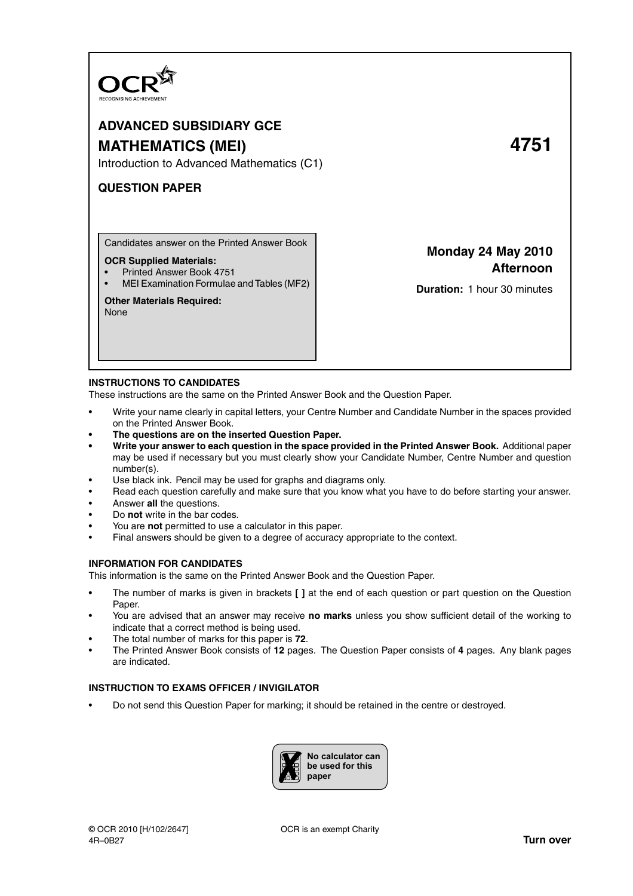

# **ADVANCED SUBSIDIARY GCE**

# **MATHEMATICS (MEI) 4751**

Introduction to Advanced Mathematics (C1)

## **QUESTION PAPER**

Candidates answer on the Printed Answer Book

## **OCR Supplied Materials:**

- Printed Answer Book 4751
- MEI Examination Formulae and Tables (MF2)

## **Other Materials Required:**

None

**Monday 24 May 2010 Afternoon**

**Duration:** 1 hour 30 minutes

## **INSTRUCTIONS TO CANDIDATES**

These instructions are the same on the Printed Answer Book and the Question Paper.

- Write your name clearly in capital letters, your Centre Number and Candidate Number in the spaces provided on the Printed Answer Book.
- **The questions are on the inserted Question Paper.**
- **Write your answer to each question in the space provided in the Printed Answer Book.** Additional paper may be used if necessary but you must clearly show your Candidate Number, Centre Number and question number(s).
- Use black ink. Pencil may be used for graphs and diagrams only.
- Read each question carefully and make sure that you know what you have to do before starting your answer.
- Answer **all** the questions.
- Do **not** write in the bar codes.
- You are **not** permitted to use a calculator in this paper.
- Final answers should be given to a degree of accuracy appropriate to the context.

## **INFORMATION FOR CANDIDATES**

This information is the same on the Printed Answer Book and the Question Paper.

- The number of marks is given in brackets **[ ]** at the end of each question or part question on the Question Paper.
- You are advised that an answer may receive **no marks** unless you show sufficient detail of the working to indicate that a correct method is being used.
- The total number of marks for this paper is **72**.
- The Printed Answer Book consists of **12** pages. The Question Paper consists of **4** pages. Any blank pages are indicated.

## **INSTRUCTION TO EXAMS OFFICER / INVIGILATOR**

• Do not send this Question Paper for marking; it should be retained in the centre or destroyed.

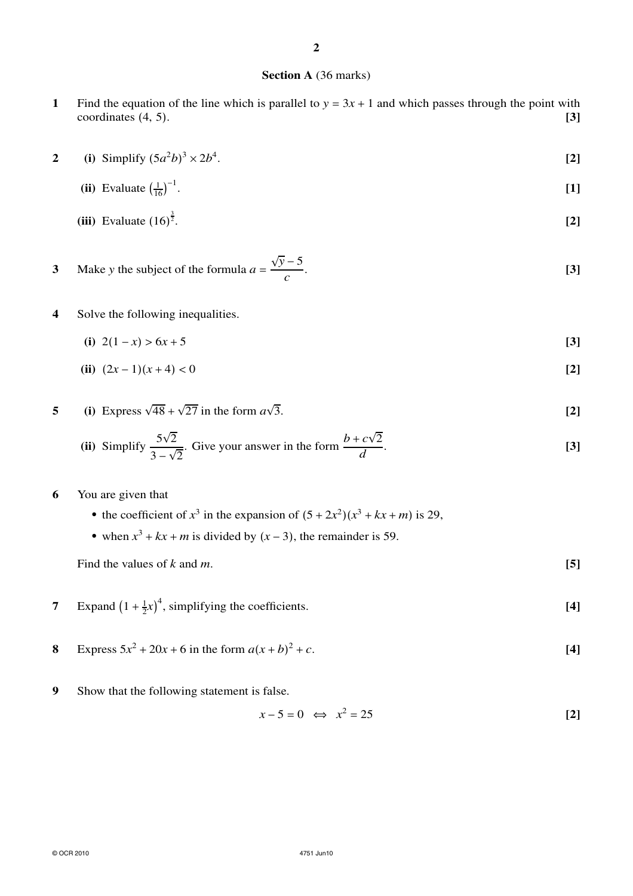## **Section A** (36 marks)

- **1** Find the equation of the line which is parallel to  $y = 3x + 1$  and which passes through the point with coordinates (4, 5). coordinates (4, 5).
- **2** (i) Simplify  $(5a^2b)^3 \times 2b^4$ . **[2]**
	- **(ii)** Evaluate  $\left(\frac{1}{16}\right)^{-1}$ . **[1]**
	- **(iii)** Evaluate  $(16)^{\frac{3}{2}}$ . **[2]**
- **3** Make *y* the subject of the formula  $a =$  $\sqrt{y}$  – 5 *c* . **[3]**
- **4** Solve the following inequalities.
	- (i)  $2(1-x) > 6x + 5$  [3]
	- **(ii)**  $(2x-1)(x+4) < 0$  **[2]**
- **5** (i) Express  $\sqrt{48} + \sqrt{27}$  in the form  $a\sqrt{ }$  $\overline{3}$ . **[2]**

(ii) Simplify 
$$
\frac{5\sqrt{2}}{3-\sqrt{2}}
$$
. Give your answer in the form  $\frac{b+c\sqrt{2}}{d}$ . [3]

## **6** You are given that

- the coefficient of  $x^3$  in the expansion of  $(5 + 2x^2)(x^3 + kx + m)$  is 29,
- when  $x^3 + kx + m$  is divided by  $(x 3)$ , the remainder is 59.

Find the values of  $k$  and  $m$ .  $[5]$ 

- **7** Expand  $\left(1 + \frac{1}{2}x\right)^4$ , simplifying the coefficients. **[4]**
- **8** Express  $5x^2 + 20x + 6$  in the form  $a(x + b)$  $2 + c$ . **[4]**
- **9** Show that the following statement is false.

$$
x - 5 = 0 \iff x^2 = 25 \tag{2}
$$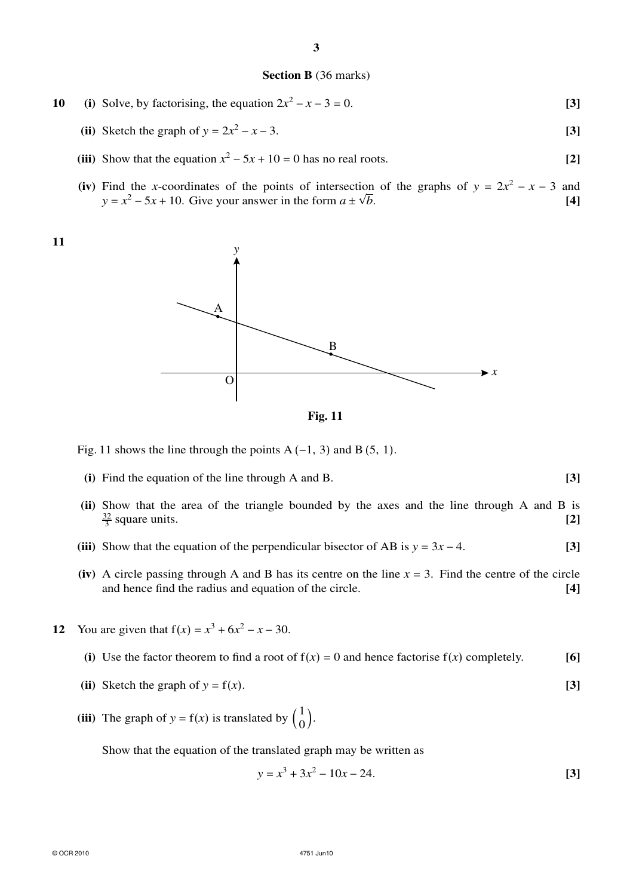### **Section B** (36 marks)

- **10** (i) Solve, by factorising, the equation  $2x^2 x 3 = 0$ . **[3]** 
	- (ii) Sketch the graph of  $y = 2x^2 x 3$ .  $2^2 - x - 3$ . **[3]**
	- (iii) Show that the equation  $x^2 5x + 10 = 0$  has no real roots. **[2]**
	- (iv) Find the *x*-coordinates of the points of intersection of the graphs of  $y = 2x^2 x 3$  and  $y = x^2 - 5x + 10$ . Give your answer in the form  $a \pm \sqrt{a^2 - 5x^2 + 10}$ *b*. **[4]**





**Fig. 11**

Fig. 11 shows the line through the points A  $(-1, 3)$  and B $(5, 1)$ .

- **(i)** Find the equation of the line through A and B. **[3]**
- **(ii)** Show that the area of the triangle bounded by the axes and the line through A and B is  $\frac{32}{3}$  square units. **[2]**
- (iii) Show that the equation of the perpendicular bisector of AB is  $y = 3x 4$ . **[3]**
- (iv) A circle passing through A and B has its centre on the line  $x = 3$ . Find the centre of the circle and hence find the radius and equation of the circle. [4] and hence find the radius and equation of the circle. **[4]**
- **12** You are given that  $f(x) = x^3 + 6x^2 x 30$ .
	- (i) Use the factor theorem to find a root of  $f(x) = 0$  and hence factorise  $f(x)$  completely. [6]
	- (ii) Sketch the graph of  $y = f(x)$ . [3]
	- (iii) The graph of  $y = f(x)$  is translated by  $\begin{pmatrix} 1 \\ 0 \end{pmatrix}$  $^{1}_{0}$ .

Show that the equation of the translated graph may be written as

$$
y = x^3 + 3x^2 - 10x - 24.
$$
 [3]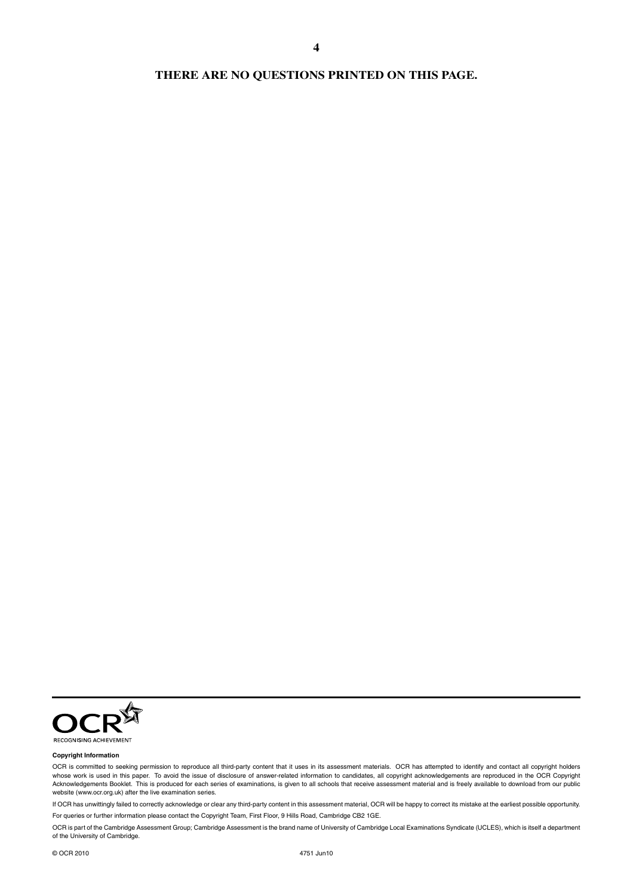## **THERE ARE NO QUESTIONS PRINTED ON THIS PAGE.**

**4**



#### **Copyright Information**

OCR is committed to seeking permission to reproduce all third-party content that it uses in its assessment materials. OCR has attempted to identify and contact all copyright holders whose work is used in this paper. To avoid the issue of disclosure of answer-related information to candidates, all copyright acknowledgements are reproduced in the OCR Copyright Acknowledgements Booklet. This is produced for each series of examinations, is given to all schools that receive assessment material and is freely available to download from our public<br>website (www.ocr.org.uk) after the li

If OCR has unwittingly failed to correctly acknowledge or clear any third-party content in this assessment material, OCR will be happy to correct its mistake at the earliest possible opportunity. For queries or further information please contact the Copyright Team, First Floor, 9 Hills Road, Cambridge CB2 1GE.

OCR is part of the Cambridge Assessment Group; Cambridge Assessment is the brand name of University of Cambridge Local Examinations Syndicate (UCLES), which is itself a department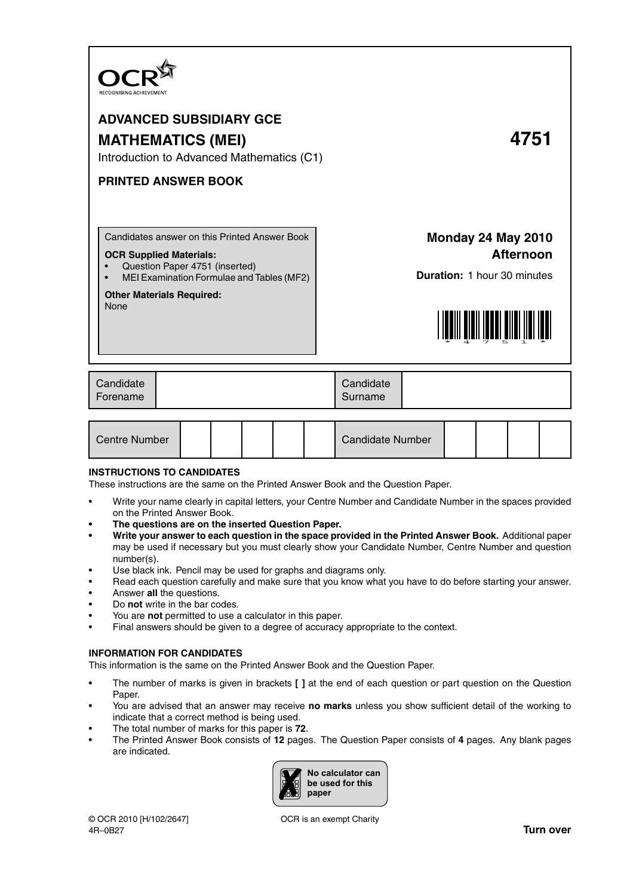

# **ADVANCED SUBSIDIARY GCE MATHEMATICS (MEI) 4751**

Introduction to Advanced Mathematics (C1)

## **PRINTED ANSWER BOOK**

Candidates answer on this Printed Answer Book

### **OCR Supplied Materials:**

- Question Paper 4751 (inserted)
- MEI Examination Formulae and Tables (MF2)

## **Other Materials Required:**

None

# **Monday 24 May 2010 Afternoon**

**Duration:** 1 hour 30 minutes



| Candidate<br>Forename |  | Candidate<br>Surname |  |
|-----------------------|--|----------------------|--|
|-----------------------|--|----------------------|--|

| Centre Number |  |  | <b>Candidate Number</b> |  |  |
|---------------|--|--|-------------------------|--|--|
|               |  |  |                         |  |  |

## **INSTRUCTIONS TO CANDIDATES**

These instructions are the same on the Printed Answer Book and the Question Paper.

- Write your name clearly in capital letters, your Centre Number and Candidate Number in the spaces provided on the Printed Answer Book.
- **The questions are on the inserted Question Paper.**
- **Write your answer to each question in the space provided in the Printed Answer Book.** Additional paper may be used if necessary but you must clearly show your Candidate Number, Centre Number and question number(s).
- Use black ink. Pencil may be used for graphs and diagrams only.
- Read each question carefully and make sure that you know what you have to do before starting your answer.
- Answer **all** the questions.
- Do **not** write in the bar codes.
- You are **not** permitted to use a calculator in this paper.
- Final answers should be given to a degree of accuracy appropriate to the context.

### **INFORMATION FOR CANDIDATES**

This information is the same on the Printed Answer Book and the Question Paper.

- The number of marks is given in brackets **[ ]** at the end of each question or part question on the Question Paper.
- You are advised that an answer may receive **no marks** unless you show sufficient detail of the working to indicate that a correct method is being used.
- The total number of marks for this paper is **72**.
- The Printed Answer Book consists of **12** pages. The Question Paper consists of **4** pages. Any blank pages are indicated.

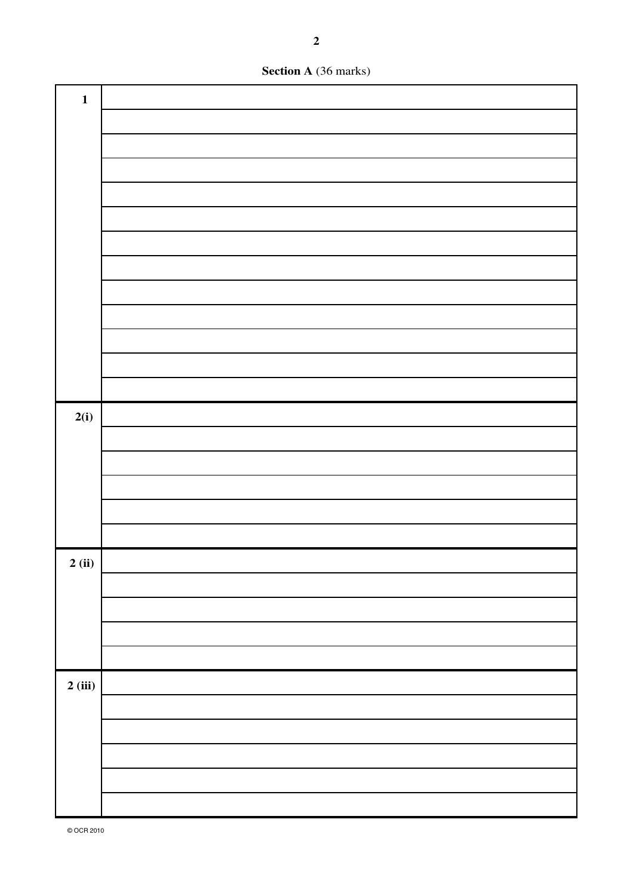**Section A** (36 marks)

| $\mathbf{1}$ |  |
|--------------|--|
|              |  |
|              |  |
|              |  |
|              |  |
|              |  |
|              |  |
|              |  |
|              |  |
|              |  |
|              |  |
|              |  |
|              |  |
| 2(i)         |  |
|              |  |
|              |  |
|              |  |
|              |  |
|              |  |
| 2(i)         |  |
|              |  |
|              |  |
|              |  |
|              |  |
| 2(iii)       |  |
|              |  |
|              |  |
|              |  |
|              |  |
|              |  |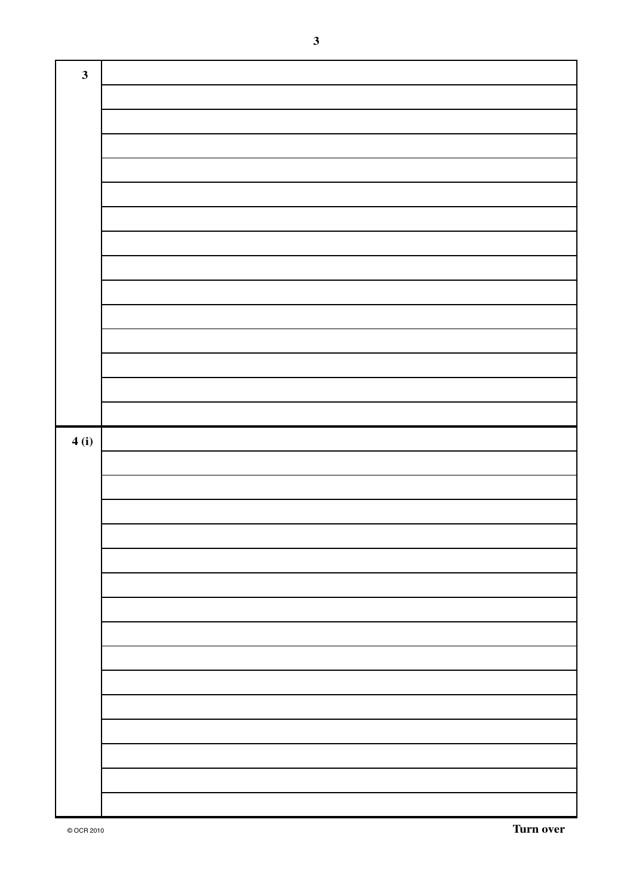| $\mathbf{3}$ |  |
|--------------|--|
|              |  |
|              |  |
|              |  |
|              |  |
|              |  |
|              |  |
|              |  |
|              |  |
|              |  |
|              |  |
|              |  |
|              |  |
|              |  |
|              |  |
|              |  |
|              |  |
| 4(i)         |  |
|              |  |
|              |  |
|              |  |
|              |  |
|              |  |
|              |  |
|              |  |
|              |  |
|              |  |
|              |  |
|              |  |
|              |  |
|              |  |
|              |  |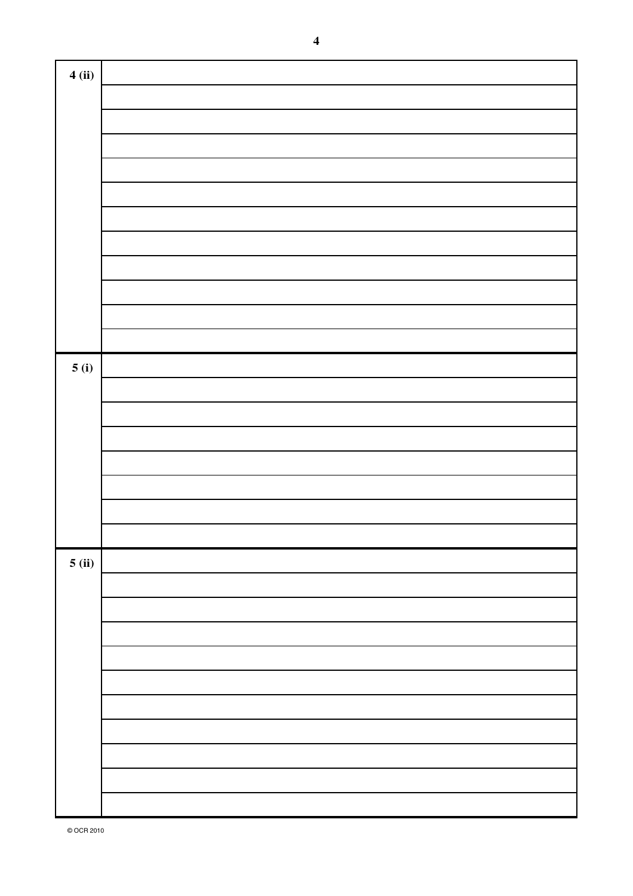| 4(ii) |  |
|-------|--|
|       |  |
|       |  |
|       |  |
|       |  |
|       |  |
|       |  |
|       |  |
|       |  |
|       |  |
|       |  |
|       |  |
|       |  |
| 5(i)  |  |
|       |  |
|       |  |
|       |  |
|       |  |
|       |  |
|       |  |
|       |  |
| 5(ii) |  |
|       |  |
|       |  |
|       |  |
|       |  |
|       |  |
|       |  |
|       |  |
|       |  |
|       |  |
|       |  |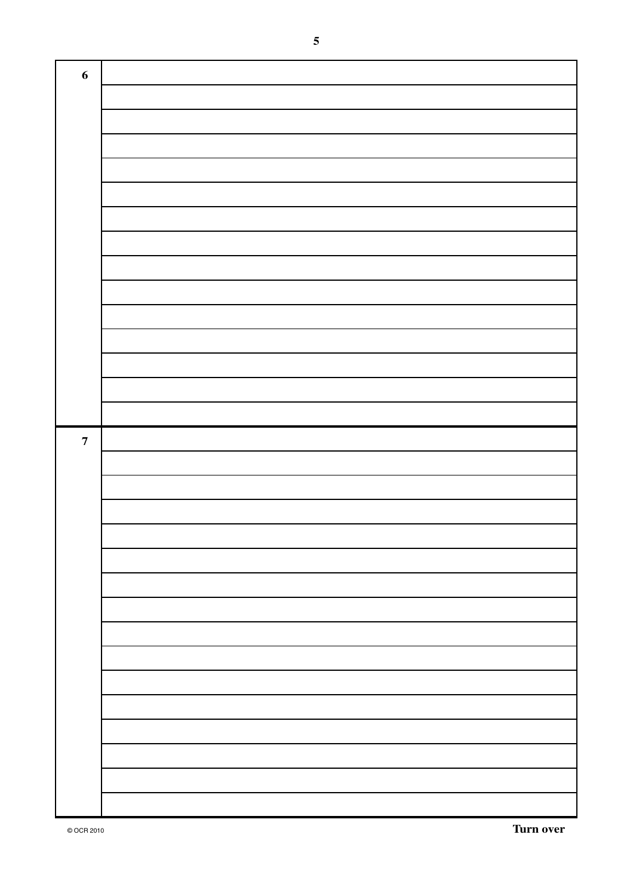| $\boldsymbol{6}$        |  |
|-------------------------|--|
|                         |  |
|                         |  |
|                         |  |
|                         |  |
|                         |  |
|                         |  |
|                         |  |
|                         |  |
|                         |  |
|                         |  |
|                         |  |
|                         |  |
|                         |  |
|                         |  |
|                         |  |
|                         |  |
|                         |  |
|                         |  |
| $\overline{\mathbf{7}}$ |  |
|                         |  |
|                         |  |
|                         |  |
|                         |  |
|                         |  |
|                         |  |
|                         |  |
|                         |  |
|                         |  |
|                         |  |
|                         |  |
|                         |  |
|                         |  |
|                         |  |
|                         |  |
|                         |  |
|                         |  |
|                         |  |
|                         |  |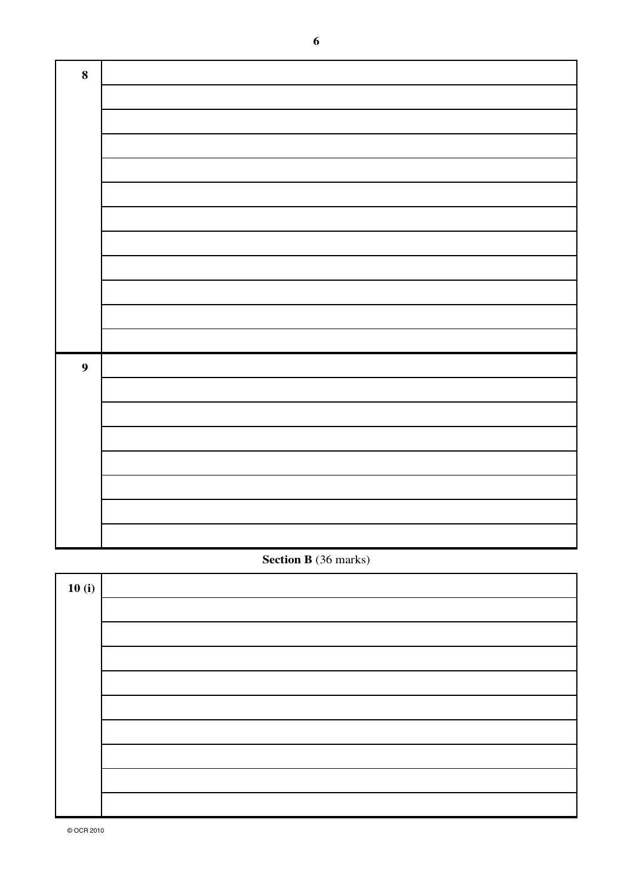| $\bf 8$          |  |
|------------------|--|
|                  |  |
|                  |  |
|                  |  |
|                  |  |
|                  |  |
|                  |  |
|                  |  |
|                  |  |
|                  |  |
|                  |  |
|                  |  |
| $\boldsymbol{9}$ |  |
|                  |  |
|                  |  |
|                  |  |
|                  |  |
|                  |  |
|                  |  |
|                  |  |

## **Section B** (36 marks)

| 10(i) |  |
|-------|--|
|       |  |
|       |  |
|       |  |
|       |  |
|       |  |
|       |  |
|       |  |
|       |  |
|       |  |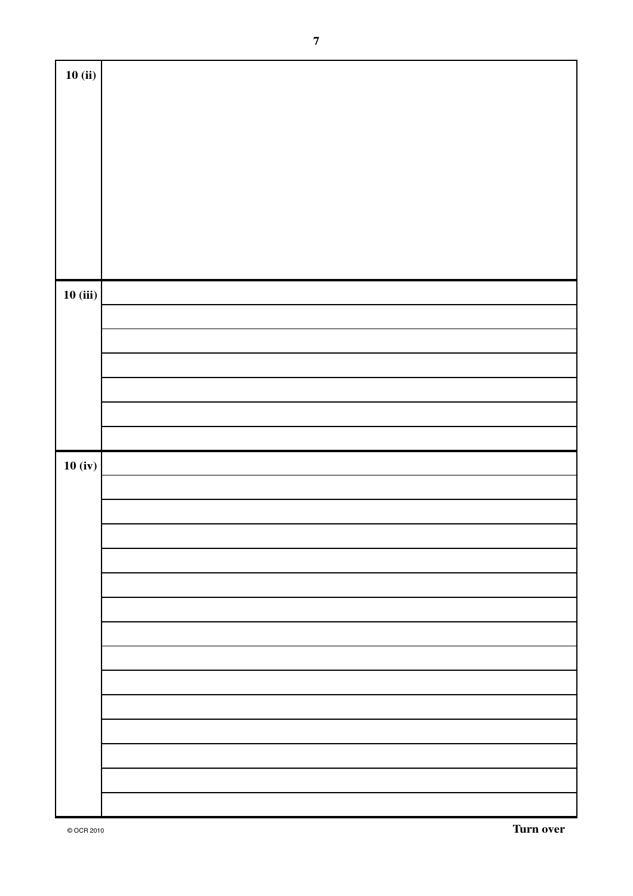| 10(ii)  |  |
|---------|--|
|         |  |
|         |  |
|         |  |
|         |  |
|         |  |
|         |  |
|         |  |
|         |  |
|         |  |
|         |  |
|         |  |
|         |  |
|         |  |
|         |  |
|         |  |
|         |  |
|         |  |
|         |  |
|         |  |
|         |  |
|         |  |
|         |  |
|         |  |
|         |  |
|         |  |
|         |  |
| 10(iii) |  |
|         |  |
|         |  |
|         |  |
|         |  |
|         |  |
|         |  |
|         |  |
|         |  |
|         |  |
|         |  |
|         |  |
|         |  |
|         |  |
|         |  |
|         |  |
|         |  |
|         |  |
|         |  |
|         |  |
|         |  |
| 10(iv)  |  |
|         |  |
|         |  |
|         |  |
|         |  |
|         |  |
|         |  |
|         |  |
|         |  |
|         |  |
|         |  |
|         |  |
|         |  |
|         |  |
|         |  |
|         |  |
|         |  |
|         |  |
|         |  |
|         |  |
|         |  |
|         |  |
|         |  |
|         |  |
|         |  |
|         |  |
|         |  |
|         |  |
|         |  |
|         |  |
|         |  |
|         |  |
|         |  |
|         |  |
|         |  |
|         |  |
|         |  |
|         |  |
|         |  |
|         |  |
|         |  |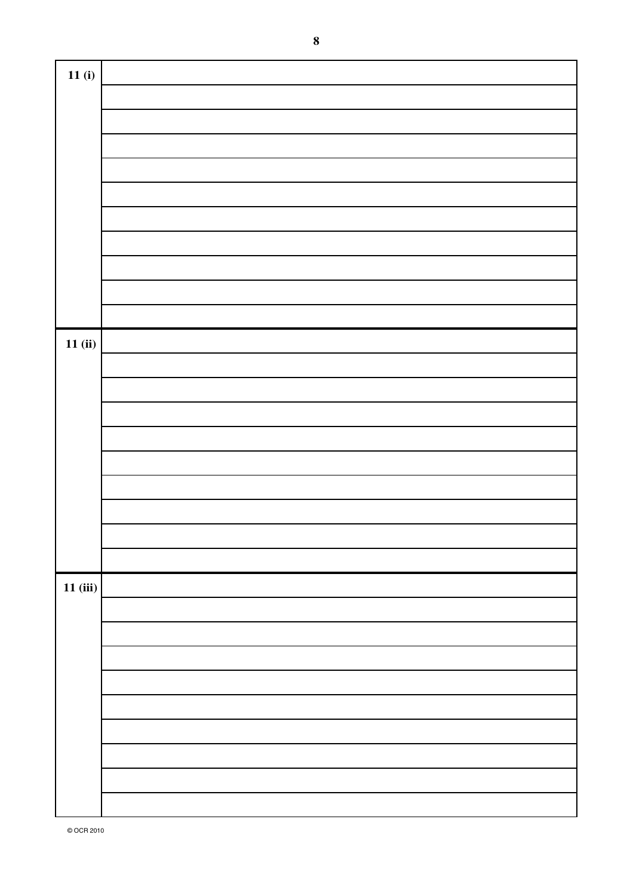| 11(i)    |  |
|----------|--|
|          |  |
|          |  |
|          |  |
|          |  |
|          |  |
|          |  |
|          |  |
|          |  |
|          |  |
|          |  |
|          |  |
| 11(ii)   |  |
|          |  |
|          |  |
|          |  |
|          |  |
|          |  |
|          |  |
|          |  |
|          |  |
|          |  |
|          |  |
|          |  |
| 11 (iii) |  |
|          |  |
|          |  |
|          |  |
|          |  |
|          |  |
|          |  |
|          |  |
|          |  |
|          |  |
|          |  |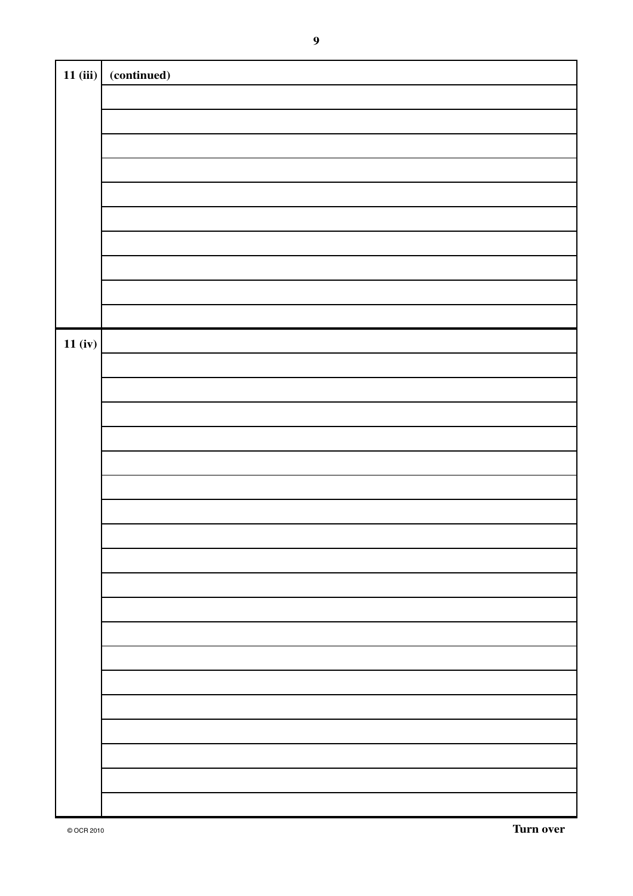| 11(iii) | (continued) |
|---------|-------------|
|         |             |
|         |             |
|         |             |
|         |             |
|         |             |
|         |             |
|         |             |
|         |             |
|         |             |
|         |             |
|         |             |
|         |             |
|         |             |
|         |             |
|         |             |
| 11(iv)  |             |
|         |             |
|         |             |
|         |             |
|         |             |
|         |             |
|         |             |
|         |             |
|         |             |
|         |             |
|         |             |
|         |             |
|         |             |
|         |             |
|         |             |
|         |             |
|         |             |
|         |             |
|         |             |
|         |             |
|         |             |
|         |             |
|         |             |
|         |             |
|         |             |
|         |             |
|         |             |
|         |             |
|         |             |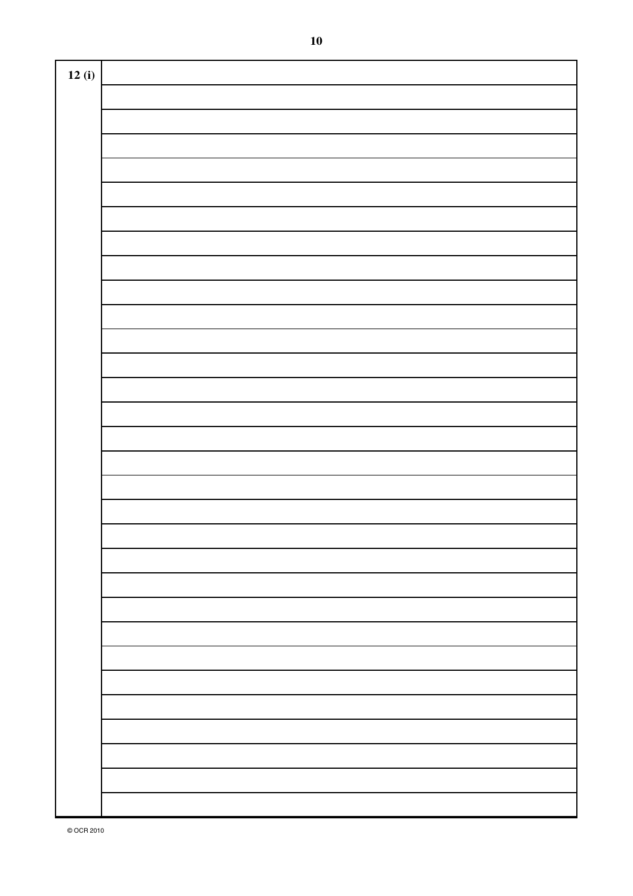| 12(i) |  |
|-------|--|
|       |  |
|       |  |
|       |  |
|       |  |
|       |  |
|       |  |
|       |  |
|       |  |
|       |  |
|       |  |
|       |  |
|       |  |
|       |  |
|       |  |
|       |  |
|       |  |
|       |  |
|       |  |
|       |  |
|       |  |
|       |  |
|       |  |
|       |  |
|       |  |
|       |  |
|       |  |
|       |  |
|       |  |
|       |  |
|       |  |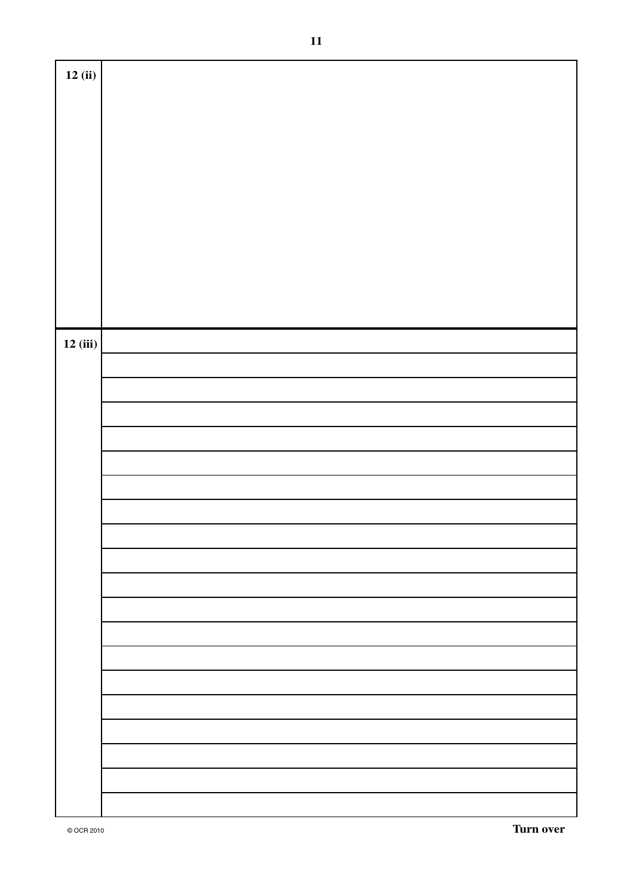| 12(i)   |  |
|---------|--|
|         |  |
|         |  |
|         |  |
|         |  |
|         |  |
|         |  |
|         |  |
|         |  |
|         |  |
|         |  |
|         |  |
|         |  |
|         |  |
|         |  |
|         |  |
|         |  |
|         |  |
|         |  |
|         |  |
|         |  |
|         |  |
|         |  |
|         |  |
|         |  |
|         |  |
|         |  |
|         |  |
|         |  |
|         |  |
|         |  |
| 12(iii) |  |
|         |  |
|         |  |
|         |  |
|         |  |
|         |  |
|         |  |
|         |  |
|         |  |
|         |  |
|         |  |
|         |  |
|         |  |
|         |  |
|         |  |
|         |  |
|         |  |
|         |  |
|         |  |
|         |  |
|         |  |
|         |  |
|         |  |
|         |  |
|         |  |
|         |  |
|         |  |
|         |  |
|         |  |
|         |  |
|         |  |
|         |  |
|         |  |
|         |  |
|         |  |
|         |  |
|         |  |
|         |  |
|         |  |
|         |  |
|         |  |
|         |  |
|         |  |
|         |  |
|         |  |
|         |  |
|         |  |
|         |  |
|         |  |
|         |  |
|         |  |
|         |  |
|         |  |
|         |  |